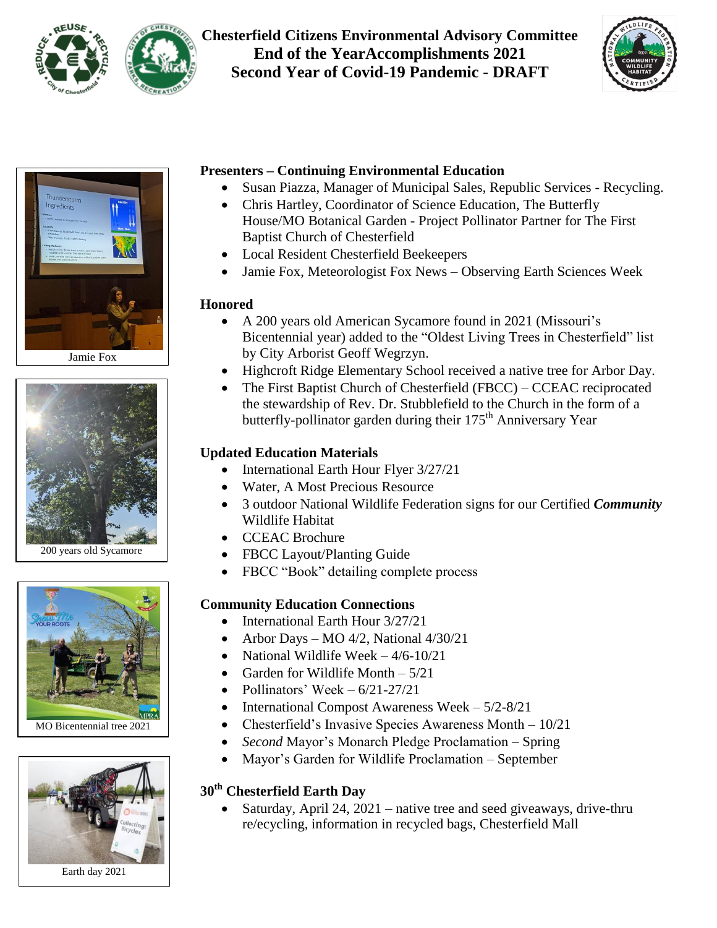

**Chesterfield Citizens Environmental Advisory Committee End of the YearAccomplishments 2021 Second Year of Covid-19 Pandemic - DRAFT**





Jamie Fox



200 years old Sycamore



MO Bicentennial tree 2021



Earth day 2021

#### **Presenters – Continuing Environmental Education**

- Susan Piazza, Manager of Municipal Sales, Republic Services Recycling.
- Chris Hartley, Coordinator of Science Education, The Butterfly House/MO Botanical Garden - Project Pollinator Partner for The First Baptist Church of Chesterfield
- Local Resident Chesterfield Beekeepers
- Jamie Fox, Meteorologist Fox News Observing Earth Sciences Week

### **Honored**

- A 200 years old American Sycamore found in 2021 (Missouri's Bicentennial year) added to the "Oldest Living Trees in Chesterfield" list by City Arborist Geoff Wegrzyn.
- Highcroft Ridge Elementary School received a native tree for Arbor Day.
- The First Baptist Church of Chesterfield (FBCC) CCEAC reciprocated the stewardship of Rev. Dr. Stubblefield to the Church in the form of a butterfly-pollinator garden during their 175<sup>th</sup> Anniversary Year

### **Updated Education Materials**

- International Earth Hour Flyer 3/27/21
- Water, A Most Precious Resource
- 3 outdoor National Wildlife Federation signs for our Certified *Community* Wildlife Habitat
- CCEAC Brochure
- FBCC Layout/Planting Guide
- FBCC "Book" detailing complete process

### **Community Education Connections**

- International Earth Hour 3/27/21
- Arbor Days MO 4/2, National  $4/30/21$
- National Wildlife Week  $-4/6-10/21$
- Garden for Wildlife Month  $-5/21$
- Pollinators' Week  $6/21-27/21$
- International Compost Awareness Week  $-5/2-8/21$
- Chesterfield's Invasive Species Awareness Month  $-10/21$ 
	- *Second* Mayor"s Monarch Pledge Proclamation Spring
- Mayor's Garden for Wildlife Proclamation September

### **30th Chesterfield Earth Day**

 Saturday, April 24, 2021 – native tree and seed giveaways, drive-thru re/ecycling, information in recycled bags, Chesterfield Mall